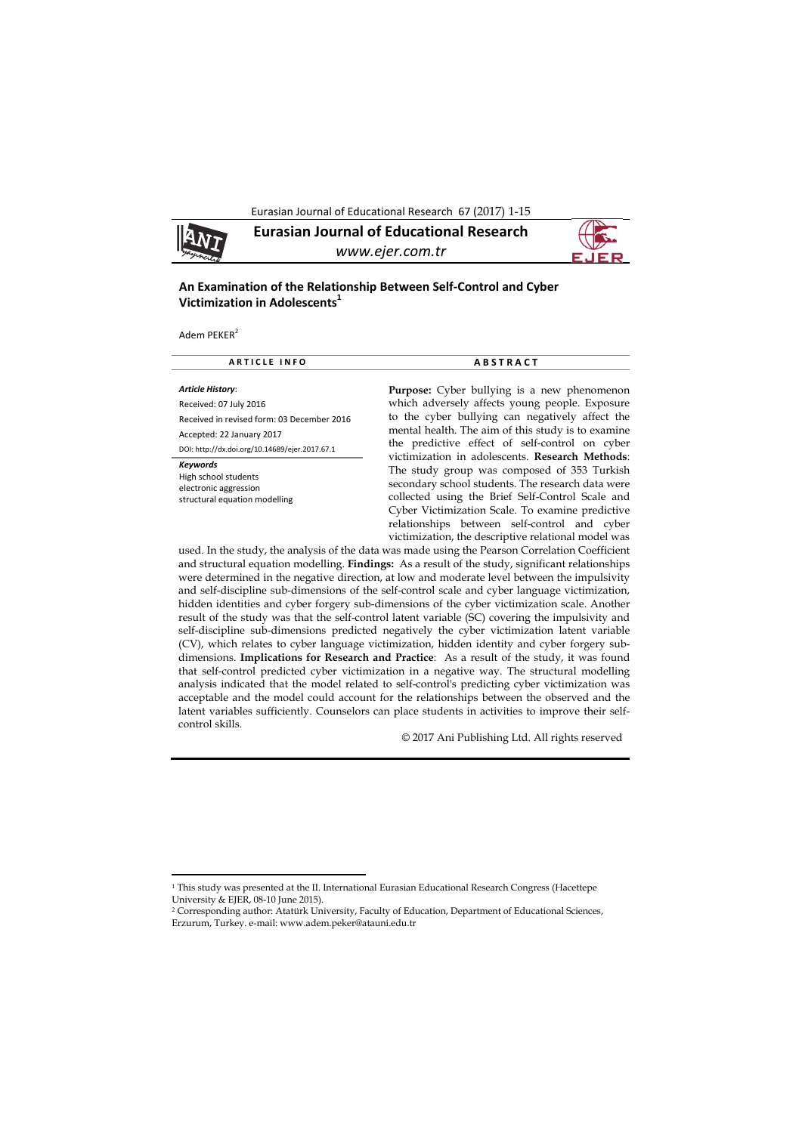Eurasian Journal of Educational Research 67 (2017) 1-15



**Eurasian Journal of Educational Research**  *www.ejer.com.tr* 



# **An Examination of the Relationship Between Self‐Control and Cyber Victimization in Adolescents1**

Adem PEKER<sup>2</sup>

 $\overline{\phantom{a}}$ 

| <b>ARTICLE INFO</b>                                                                        | <b>ABSTRACT</b>                                                                                                                                                                                                                                                                                                                                                    |  |  |  |
|--------------------------------------------------------------------------------------------|--------------------------------------------------------------------------------------------------------------------------------------------------------------------------------------------------------------------------------------------------------------------------------------------------------------------------------------------------------------------|--|--|--|
| Article History:                                                                           | <b>Purpose:</b> Cyber bullying is a new phenomenon                                                                                                                                                                                                                                                                                                                 |  |  |  |
| Received: 07 July 2016                                                                     | which adversely affects young people. Exposure                                                                                                                                                                                                                                                                                                                     |  |  |  |
| Received in revised form: 03 December 2016                                                 | to the cyber bullying can negatively affect the                                                                                                                                                                                                                                                                                                                    |  |  |  |
| Accepted: 22 January 2017                                                                  | mental health. The aim of this study is to examine<br>the predictive effect of self-control on cyber                                                                                                                                                                                                                                                               |  |  |  |
| DOI: http://dx.doi.org/10.14689/ejer.2017.67.1                                             |                                                                                                                                                                                                                                                                                                                                                                    |  |  |  |
| Keywords<br>High school students<br>electronic aggression<br>structural equation modelling | victimization in adolescents. Research Methods:<br>The study group was composed of 353 Turkish<br>secondary school students. The research data were<br>collected using the Brief Self-Control Scale and<br>Cyber Victimization Scale. To examine predictive<br>relationships between self-control and cyber<br>victimization, the descriptive relational model was |  |  |  |
|                                                                                            | used. In the study, the analysis of the data was made using the Pearson Correlation Coefficient                                                                                                                                                                                                                                                                    |  |  |  |

used. In the study, the analysis of the data was made using the Pearson Correlation Coefficient and structural equation modelling. **Findings:** As a result of the study, significant relationships were determined in the negative direction, at low and moderate level between the impulsivity and self-discipline sub-dimensions of the self-control scale and cyber language victimization, hidden identities and cyber forgery sub-dimensions of the cyber victimization scale. Another result of the study was that the self-control latent variable (SC) covering the impulsivity and self-discipline sub-dimensions predicted negatively the cyber victimization latent variable (CV), which relates to cyber language victimization, hidden identity and cyber forgery subdimensions. **Implications for Research and Practice**: As a result of the study, it was found that self-control predicted cyber victimization in a negative way. The structural modelling analysis indicated that the model related to self-control's predicting cyber victimization was acceptable and the model could account for the relationships between the observed and the latent variables sufficiently. Counselors can place students in activities to improve their selfcontrol skills.

© 2017 Ani Publishing Ltd. All rights reserved

<sup>1</sup> This study was presented at the II. International Eurasian Educational Research Congress (Hacettepe University & EJER, 08-10 June 2015).

<sup>2</sup> Corresponding author: Atatürk University, Faculty of Education, Department of Educational Sciences, Erzurum, Turkey. e-mail: www.adem.peker@atauni.edu.tr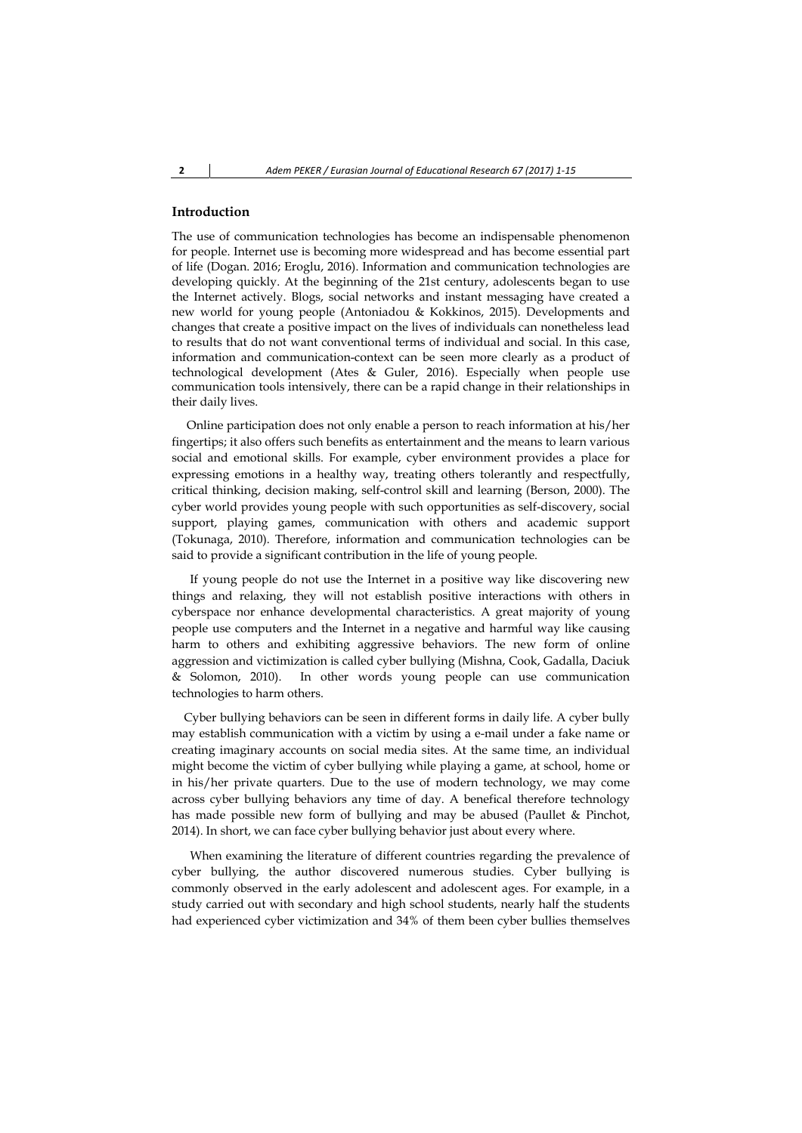## **Introduction**

The use of communication technologies has become an indispensable phenomenon for people. Internet use is becoming more widespread and has become essential part of life (Dogan. 2016; Eroglu, 2016). Information and communication technologies are developing quickly. At the beginning of the 21st century, adolescents began to use the Internet actively. Blogs, social networks and instant messaging have created a new world for young people (Antoniadou & Kokkinos, 2015). Developments and changes that create a positive impact on the lives of individuals can nonetheless lead to results that do not want conventional terms of individual and social. In this case, information and communication-context can be seen more clearly as a product of technological development (Ates & Guler, 2016). Especially when people use communication tools intensively, there can be a rapid change in their relationships in their daily lives.

 Online participation does not only enable a person to reach information at his/her fingertips; it also offers such benefits as entertainment and the means to learn various social and emotional skills. For example, cyber environment provides a place for expressing emotions in a healthy way, treating others tolerantly and respectfully, critical thinking, decision making, self-control skill and learning (Berson, 2000). The cyber world provides young people with such opportunities as self-discovery, social support, playing games, communication with others and academic support (Tokunaga, 2010). Therefore, information and communication technologies can be said to provide a significant contribution in the life of young people.

 If young people do not use the Internet in a positive way like discovering new things and relaxing, they will not establish positive interactions with others in cyberspace nor enhance developmental characteristics. A great majority of young people use computers and the Internet in a negative and harmful way like causing harm to others and exhibiting aggressive behaviors. The new form of online aggression and victimization is called cyber bullying (Mishna, Cook, Gadalla, Daciuk & Solomon, 2010). In other words young people can use communication technologies to harm others.

 Cyber bullying behaviors can be seen in different forms in daily life. A cyber bully may establish communication with a victim by using a e-mail under a fake name or creating imaginary accounts on social media sites. At the same time, an individual might become the victim of cyber bullying while playing a game, at school, home or in his/her private quarters. Due to the use of modern technology, we may come across cyber bullying behaviors any time of day. A benefical therefore technology has made possible new form of bullying and may be abused (Paullet & Pinchot, 2014). In short, we can face cyber bullying behavior just about every where.

 When examining the literature of different countries regarding the prevalence of cyber bullying, the author discovered numerous studies. Cyber bullying is commonly observed in the early adolescent and adolescent ages. For example, in a study carried out with secondary and high school students, nearly half the students had experienced cyber victimization and 34% of them been cyber bullies themselves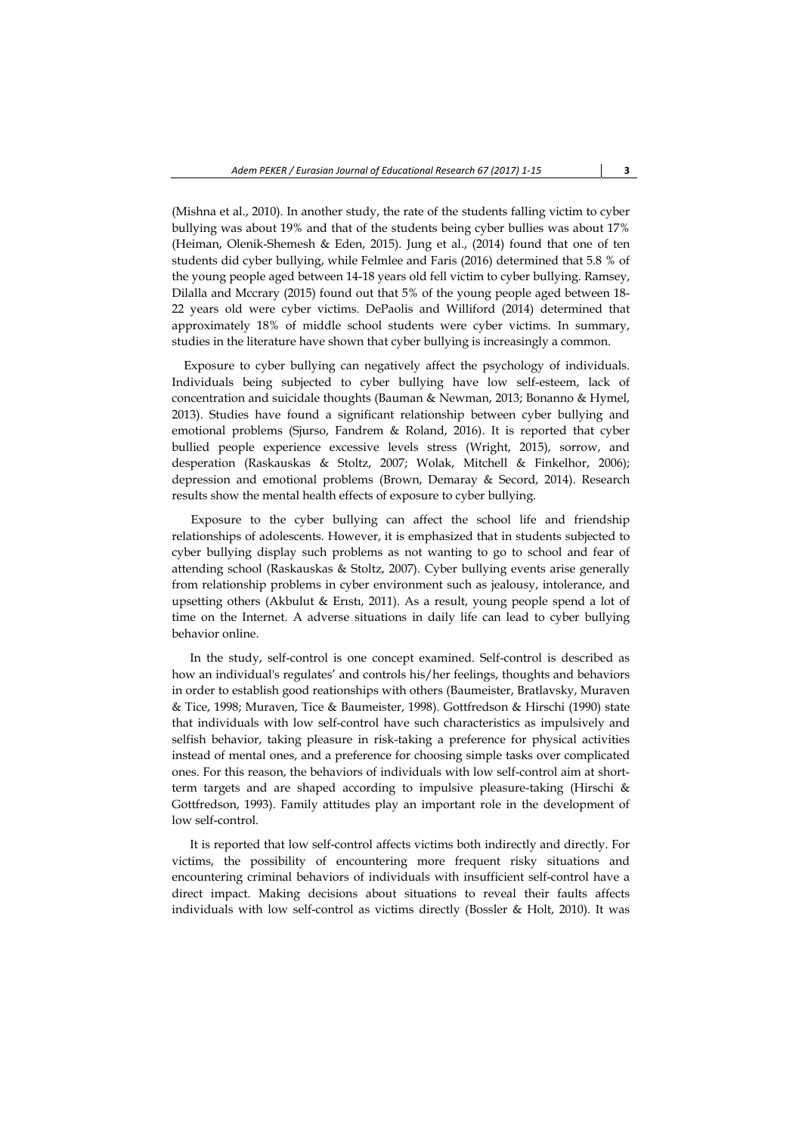(Mishna et al., 2010). In another study, the rate of the students falling victim to cyber bullying was about 19% and that of the students being cyber bullies was about 17% (Heiman, Olenik-Shemesh & Eden, 2015). Jung et al., (2014) found that one of ten students did cyber bullying, while Felmlee and Faris (2016) determined that 5.8 % of the young people aged between 14-18 years old fell victim to cyber bullying. Ramsey, Dilalla and Mccrary (2015) found out that 5% of the young people aged between 18- 22 years old were cyber victims. DePaolis and Williford (2014) determined that approximately 18% of middle school students were cyber victims. In summary, studies in the literature have shown that cyber bullying is increasingly a common.

 Exposure to cyber bullying can negatively affect the psychology of individuals. Individuals being subjected to cyber bullying have low self-esteem, lack of concentration and suicidale thoughts (Bauman & Newman, 2013; Bonanno & Hymel, 2013). Studies have found a significant relationship between cyber bullying and emotional problems (Sjurso, Fandrem & Roland, 2016). It is reported that cyber bullied people experience excessive levels stress (Wright, 2015), sorrow, and desperation (Raskauskas & Stoltz, 2007; Wolak, Mitchell & Finkelhor, 2006); depression and emotional problems (Brown, Demaray & Secord, 2014). Research results show the mental health effects of exposure to cyber bullying.

Exposure to the cyber bullying can affect the school life and friendship relationships of adolescents. However, it is emphasized that in students subjected to cyber bullying display such problems as not wanting to go to school and fear of attending school (Raskauskas & Stoltz, 2007). Cyber bullying events arise generally from relationship problems in cyber environment such as jealousy, intolerance, and upsetting others (Akbulut & Erıstı, 2011). As a result, young people spend a lot of time on the Internet. A adverse situations in daily life can lead to cyber bullying behavior online.

 In the study, self-control is one concept examined. Self-control is described as how an individual's regulates' and controls his/her feelings, thoughts and behaviors in order to establish good reationships with others (Baumeister, Bratlavsky, Muraven & Tice, 1998; Muraven, Tice & Baumeister, 1998). Gottfredson & Hirschi (1990) state that individuals with low self-control have such characteristics as impulsively and selfish behavior, taking pleasure in risk-taking a preference for physical activities instead of mental ones, and a preference for choosing simple tasks over complicated ones. For this reason, the behaviors of individuals with low self-control aim at shortterm targets and are shaped according to impulsive pleasure-taking (Hirschi & Gottfredson, 1993). Family attitudes play an important role in the development of low self-control.

 It is reported that low self-control affects victims both indirectly and directly. For victims, the possibility of encountering more frequent risky situations and encountering criminal behaviors of individuals with insufficient self-control have a direct impact. Making decisions about situations to reveal their faults affects individuals with low self-control as victims directly (Bossler & Holt, 2010). It was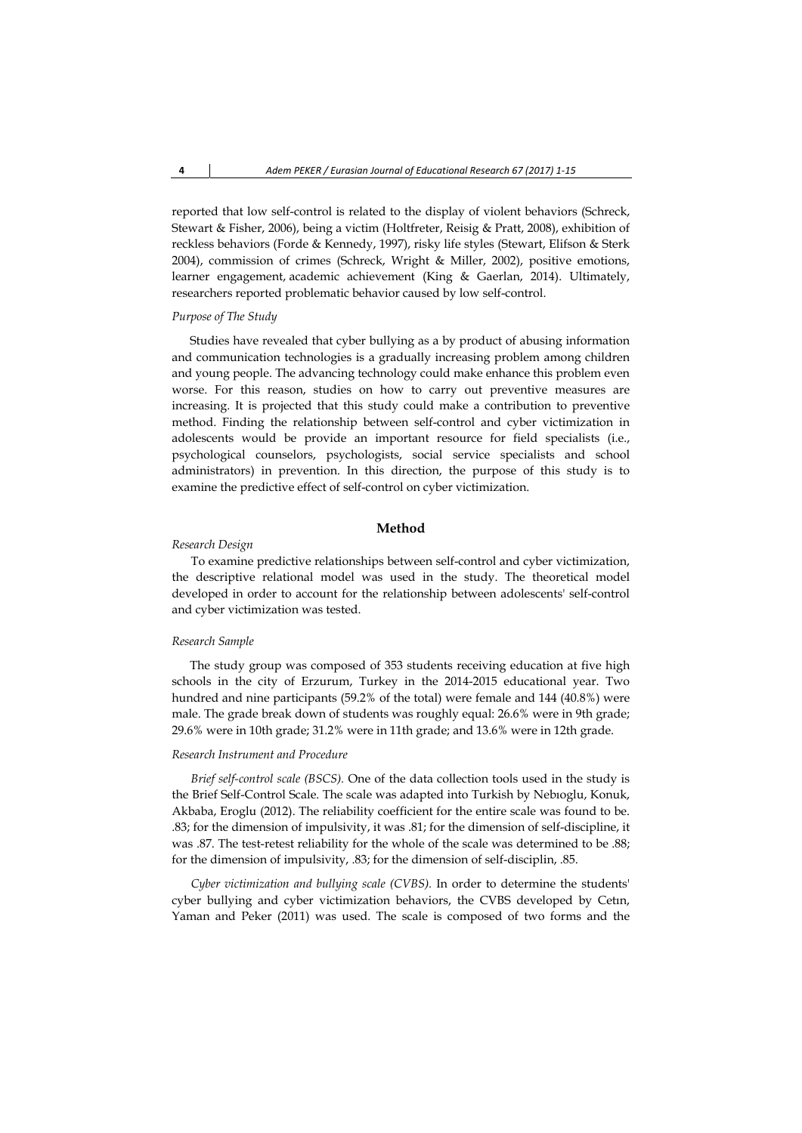reported that low self-control is related to the display of violent behaviors (Schreck, Stewart & Fisher, 2006), being a victim (Holtfreter, Reisig & Pratt, 2008), exhibition of reckless behaviors (Forde & Kennedy, 1997), risky life styles (Stewart, Elifson & Sterk 2004), commission of crimes (Schreck, Wright & Miller, 2002), positive emotions, learner engagement, academic achievement (King & Gaerlan, 2014). Ultimately, researchers reported problematic behavior caused by low self-control.

## *Purpose of The Study*

 Studies have revealed that cyber bullying as a by product of abusing information and communication technologies is a gradually increasing problem among children and young people. The advancing technology could make enhance this problem even worse. For this reason, studies on how to carry out preventive measures are increasing. It is projected that this study could make a contribution to preventive method. Finding the relationship between self-control and cyber victimization in adolescents would be provide an important resource for field specialists (i.e., psychological counselors, psychologists, social service specialists and school administrators) in prevention. In this direction, the purpose of this study is to examine the predictive effect of self-control on cyber victimization.

### **Method**

#### *Research Design*

To examine predictive relationships between self-control and cyber victimization, the descriptive relational model was used in the study. The theoretical model developed in order to account for the relationship between adolescents' self-control and cyber victimization was tested.

## *Research Sample*

 The study group was composed of 353 students receiving education at five high schools in the city of Erzurum, Turkey in the 2014-2015 educational year. Two hundred and nine participants (59.2% of the total) were female and 144 (40.8%) were male. The grade break down of students was roughly equal: 26.6% were in 9th grade; 29.6% were in 10th grade; 31.2% were in 11th grade; and 13.6% were in 12th grade.

#### *Research Instrument and Procedure*

*Brief self-control scale (BSCS).* One of the data collection tools used in the study is the Brief Self-Control Scale. The scale was adapted into Turkish by Nebıoglu, Konuk, Akbaba, Eroglu (2012). The reliability coefficient for the entire scale was found to be. .83; for the dimension of impulsivity, it was .81; for the dimension of self-discipline, it was .87. The test-retest reliability for the whole of the scale was determined to be .88; for the dimension of impulsivity, .83; for the dimension of self-disciplin, .85.

*Cyber victimization and bullying scale (CVBS).* In order to determine the students' cyber bullying and cyber victimization behaviors, the CVBS developed by Cetın, Yaman and Peker (2011) was used. The scale is composed of two forms and the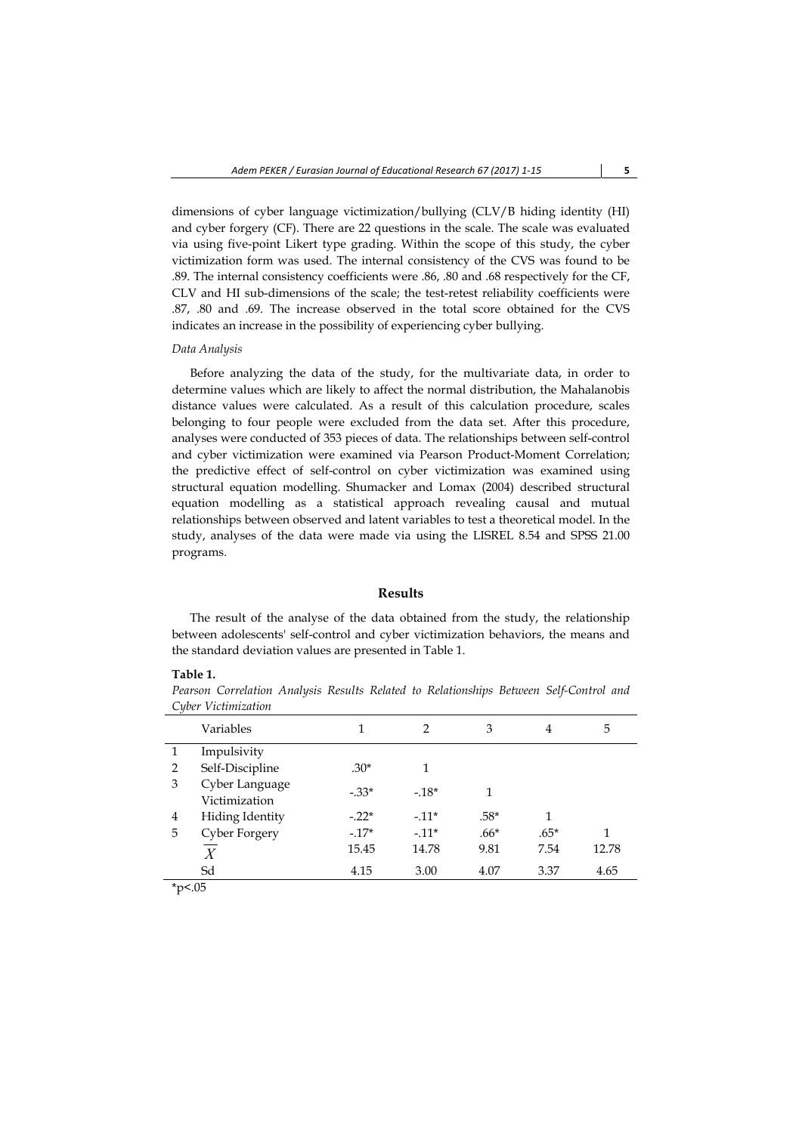dimensions of cyber language victimization/bullying (CLV/B hiding identity (HI) and cyber forgery (CF). There are 22 questions in the scale. The scale was evaluated via using five-point Likert type grading. Within the scope of this study, the cyber victimization form was used. The internal consistency of the CVS was found to be .89. The internal consistency coefficients were .86, .80 and .68 respectively for the CF, CLV and HI sub-dimensions of the scale; the test-retest reliability coefficients were .87, .80 and .69. The increase observed in the total score obtained for the CVS indicates an increase in the possibility of experiencing cyber bullying.

### *Data Analysis*

 Before analyzing the data of the study, for the multivariate data, in order to determine values which are likely to affect the normal distribution, the Mahalanobis distance values were calculated. As a result of this calculation procedure, scales belonging to four people were excluded from the data set. After this procedure, analyses were conducted of 353 pieces of data. The relationships between self-control and cyber victimization were examined via Pearson Product-Moment Correlation; the predictive effect of self-control on cyber victimization was examined using structural equation modelling. Shumacker and Lomax (2004) described structural equation modelling as a statistical approach revealing causal and mutual relationships between observed and latent variables to test a theoretical model. In the study, analyses of the data were made via using the LISREL 8.54 and SPSS 21.00 programs.

#### **Results**

 The result of the analyse of the data obtained from the study, the relationship between adolescents' self-control and cyber victimization behaviors, the means and the standard deviation values are presented in Table 1.

### **Table 1.**

*Pearson Correlation Analysis Results Related to Relationships Between Self-Control and Cyber Victimization* 

| $\checkmark$   |                                 |         |                |        |        |       |
|----------------|---------------------------------|---------|----------------|--------|--------|-------|
|                | Variables                       | 1       | $\mathfrak{D}$ | 3      | 4      | 5     |
| 1              | Impulsivity                     |         |                |        |        |       |
| $\overline{2}$ | Self-Discipline                 | $.30*$  |                |        |        |       |
| 3              | Cyber Language<br>Victimization | $-33*$  | $-18*$         | 1      |        |       |
| 4              | <b>Hiding Identity</b>          | $-.22*$ | $-11*$         | $.58*$ | 1      |       |
| 5              | Cyber Forgery                   | $-17*$  | $-11*$         | $.66*$ | $.65*$ | 1     |
|                | X                               | 15.45   | 14.78          | 9.81   | 7.54   | 12.78 |
|                | Sd                              | 4.15    | 3.00           | 4.07   | 3.37   | 4.65  |
| $+$ $ -$       |                                 |         |                |        |        |       |

\*p<.05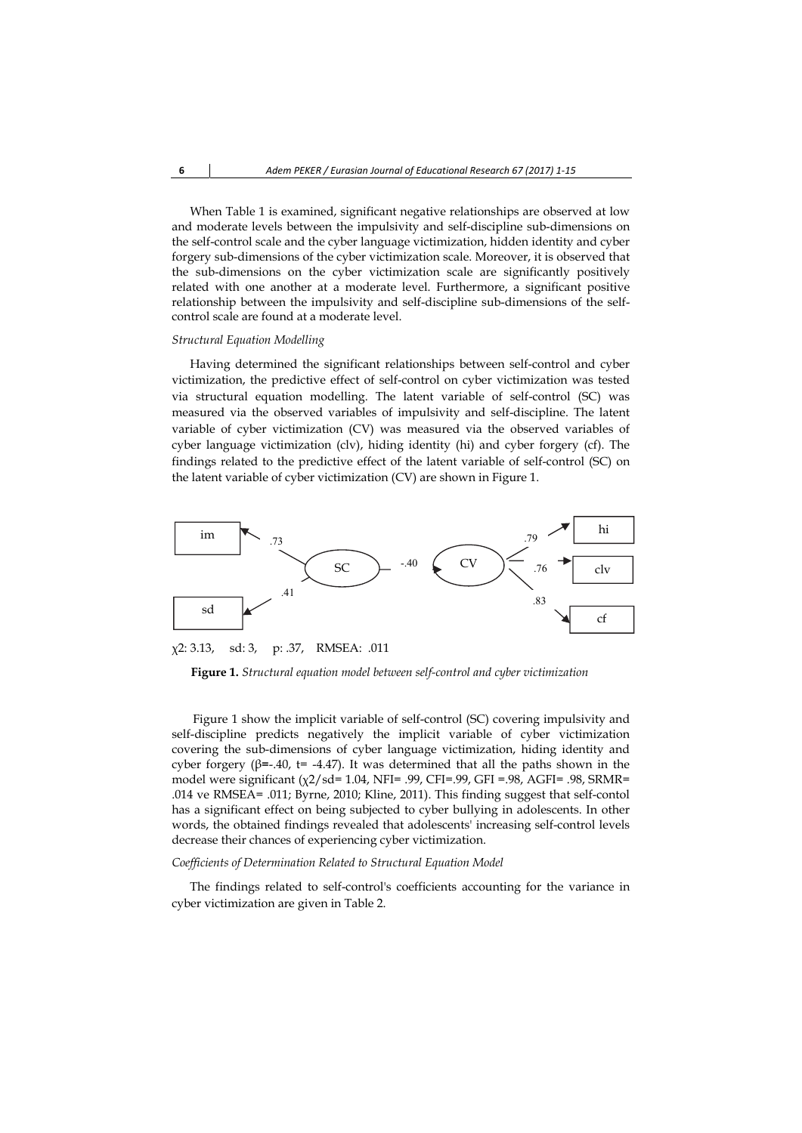When Table 1 is examined, significant negative relationships are observed at low and moderate levels between the impulsivity and self-discipline sub-dimensions on the self-control scale and the cyber language victimization, hidden identity and cyber forgery sub-dimensions of the cyber victimization scale. Moreover, it is observed that the sub-dimensions on the cyber victimization scale are significantly positively related with one another at a moderate level. Furthermore, a significant positive relationship between the impulsivity and self-discipline sub-dimensions of the selfcontrol scale are found at a moderate level.

#### *Structural Equation Modelling*

 Having determined the significant relationships between self-control and cyber victimization, the predictive effect of self-control on cyber victimization was tested via structural equation modelling. The latent variable of self-control (SC) was measured via the observed variables of impulsivity and self-discipline. The latent variable of cyber victimization (CV) was measured via the observed variables of cyber language victimization (clv), hiding identity (hi) and cyber forgery (cf). The findings related to the predictive effect of the latent variable of self-control (SC) on the latent variable of cyber victimization (CV) are shown in Figure 1.



χ2: 3.13, sd: 3, p: .37, RMSEA: .011

**Figure 1.** *Structural equation model between self-control and cyber victimization* 

 Figure 1 show the implicit variable of self-control (SC) covering impulsivity and self-discipline predicts negatively the implicit variable of cyber victimization covering the sub-dimensions of cyber language victimization, hiding identity and cyber forgery (β=-.40, t= -4.47). It was determined that all the paths shown in the model were significant (χ2/sd= 1.04, NFI= .99, CFI=.99, GFI =.98, AGFI= .98, SRMR= .014 ve RMSEA= .011; Byrne, 2010; Kline, 2011). This finding suggest that self-contol has a significant effect on being subjected to cyber bullying in adolescents. In other words, the obtained findings revealed that adolescents' increasing self-control levels decrease their chances of experiencing cyber victimization.

### *Coefficients of Determination Related to Structural Equation Model*

 The findings related to self-control's coefficients accounting for the variance in cyber victimization are given in Table 2.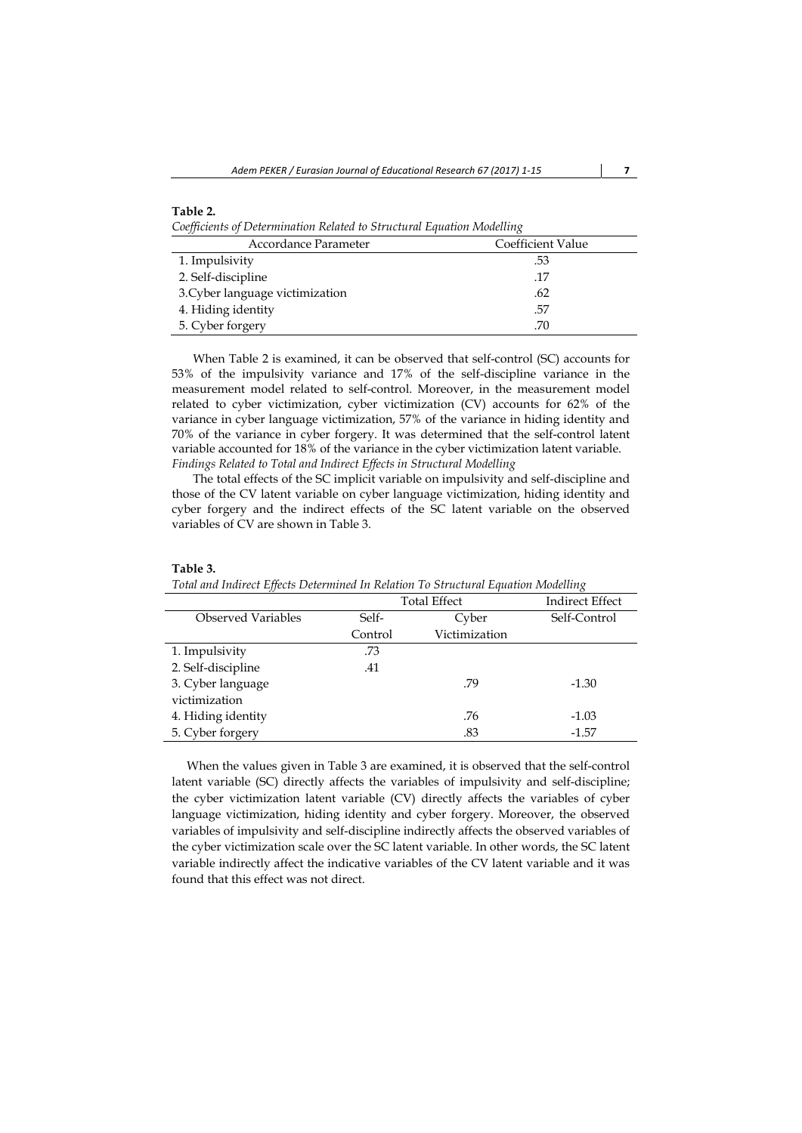| Table 2.                                                               |
|------------------------------------------------------------------------|
| Coefficients of Determination Related to Structural Equation Modelling |

| Accordance Parameter            | Coefficient Value |
|---------------------------------|-------------------|
| 1. Impulsivity                  | .53               |
| 2. Self-discipline              | .17               |
| 3. Cyber language victimization | .62               |
| 4. Hiding identity              | .57               |
| 5. Cyber forgery                | .70               |

 When Table 2 is examined, it can be observed that self-control (SC) accounts for 53% of the impulsivity variance and 17% of the self-discipline variance in the measurement model related to self-control. Moreover, in the measurement model related to cyber victimization, cyber victimization (CV) accounts for 62% of the variance in cyber language victimization, 57% of the variance in hiding identity and 70% of the variance in cyber forgery. It was determined that the self-control latent variable accounted for 18% of the variance in the cyber victimization latent variable. *Findings Related to Total and Indirect Effects in Structural Modelling* 

 The total effects of the SC implicit variable on impulsivity and self-discipline and those of the CV latent variable on cyber language victimization, hiding identity and cyber forgery and the indirect effects of the SC latent variable on the observed variables of CV are shown in Table 3.

| топа ина тнанест Еществ Бетеннинеа на кепитон то этнастина Едиапон туюштану |                     |               |                 |  |  |  |
|-----------------------------------------------------------------------------|---------------------|---------------|-----------------|--|--|--|
|                                                                             | <b>Total Effect</b> |               | Indirect Effect |  |  |  |
| Observed Variables                                                          | Self-               | Cyber         | Self-Control    |  |  |  |
|                                                                             | Control             | Victimization |                 |  |  |  |
| 1. Impulsivity                                                              | .73                 |               |                 |  |  |  |
| 2. Self-discipline                                                          | .41                 |               |                 |  |  |  |
| 3. Cyber language                                                           |                     | .79           | $-1.30$         |  |  |  |
| victimization                                                               |                     |               |                 |  |  |  |
| 4. Hiding identity                                                          |                     | .76           | $-1.03$         |  |  |  |
| 5. Cyber forgery                                                            |                     | .83           | $-1.57$         |  |  |  |

#### **Table 3.**

*Total and Indirect Effects Determined In Relation To Structural Equation Modelling*

 When the values given in Table 3 are examined, it is observed that the self-control latent variable (SC) directly affects the variables of impulsivity and self-discipline; the cyber victimization latent variable (CV) directly affects the variables of cyber language victimization, hiding identity and cyber forgery. Moreover, the observed variables of impulsivity and self-discipline indirectly affects the observed variables of the cyber victimization scale over the SC latent variable. In other words, the SC latent variable indirectly affect the indicative variables of the CV latent variable and it was found that this effect was not direct.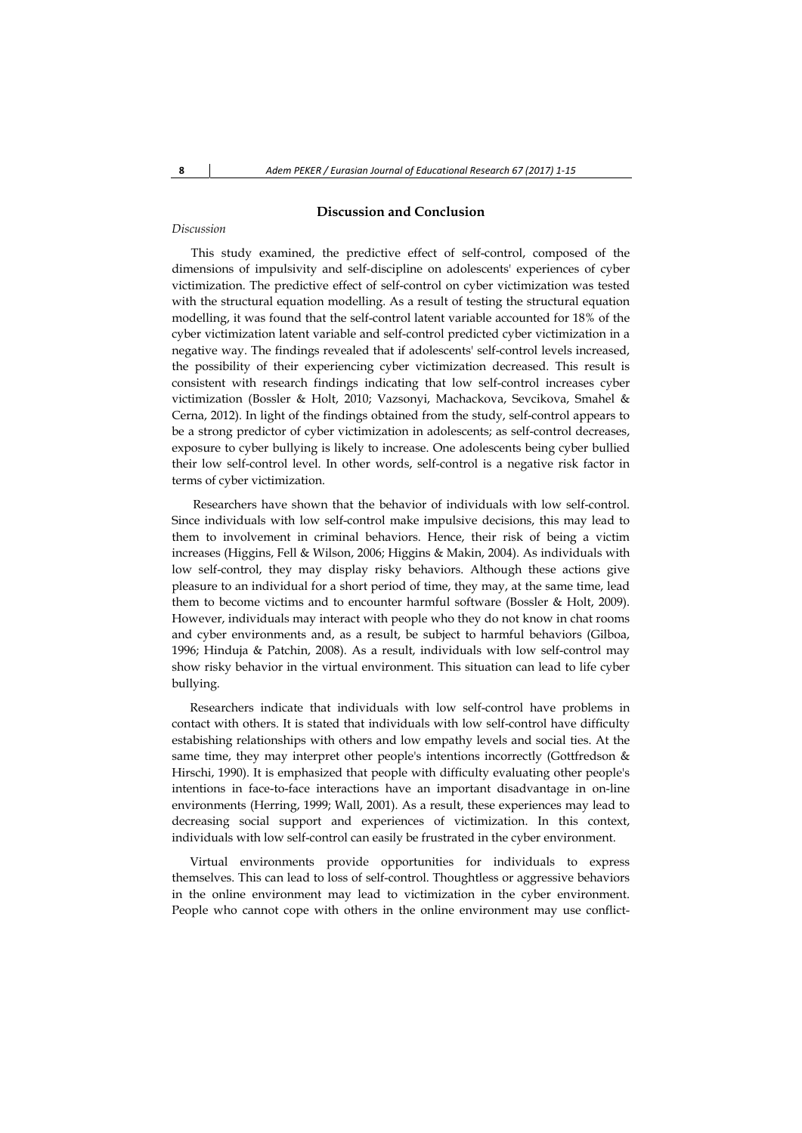## **Discussion and Conclusion**

#### *Discussion*

This study examined, the predictive effect of self-control, composed of the dimensions of impulsivity and self-discipline on adolescents' experiences of cyber victimization. The predictive effect of self-control on cyber victimization was tested with the structural equation modelling. As a result of testing the structural equation modelling, it was found that the self-control latent variable accounted for 18% of the cyber victimization latent variable and self-control predicted cyber victimization in a negative way. The findings revealed that if adolescents' self-control levels increased, the possibility of their experiencing cyber victimization decreased. This result is consistent with research findings indicating that low self-control increases cyber victimization (Bossler & Holt, 2010; Vazsonyi, Machackova, Sevcikova, Smahel & Cerna, 2012). In light of the findings obtained from the study, self-control appears to be a strong predictor of cyber victimization in adolescents; as self-control decreases, exposure to cyber bullying is likely to increase. One adolescents being cyber bullied their low self-control level. In other words, self-control is a negative risk factor in terms of cyber victimization.

 Researchers have shown that the behavior of individuals with low self-control. Since individuals with low self-control make impulsive decisions, this may lead to them to involvement in criminal behaviors. Hence, their risk of being a victim increases (Higgins, Fell & Wilson, 2006; Higgins & Makin, 2004). As individuals with low self-control, they may display risky behaviors. Although these actions give pleasure to an individual for a short period of time, they may, at the same time, lead them to become victims and to encounter harmful software (Bossler & Holt, 2009). However, individuals may interact with people who they do not know in chat rooms and cyber environments and, as a result, be subject to harmful behaviors (Gilboa, 1996; Hinduja & Patchin, 2008). As a result, individuals with low self-control may show risky behavior in the virtual environment. This situation can lead to life cyber bullying.

 Researchers indicate that individuals with low self-control have problems in contact with others. It is stated that individuals with low self-control have difficulty estabishing relationships with others and low empathy levels and social ties. At the same time, they may interpret other people's intentions incorrectly (Gottfredson & Hirschi, 1990). It is emphasized that people with difficulty evaluating other people's intentions in face-to-face interactions have an important disadvantage in on-line environments (Herring, 1999; Wall, 2001). As a result, these experiences may lead to decreasing social support and experiences of victimization. In this context, individuals with low self-control can easily be frustrated in the cyber environment.

 Virtual environments provide opportunities for individuals to express themselves. This can lead to loss of self-control. Thoughtless or aggressive behaviors in the online environment may lead to victimization in the cyber environment. People who cannot cope with others in the online environment may use conflict-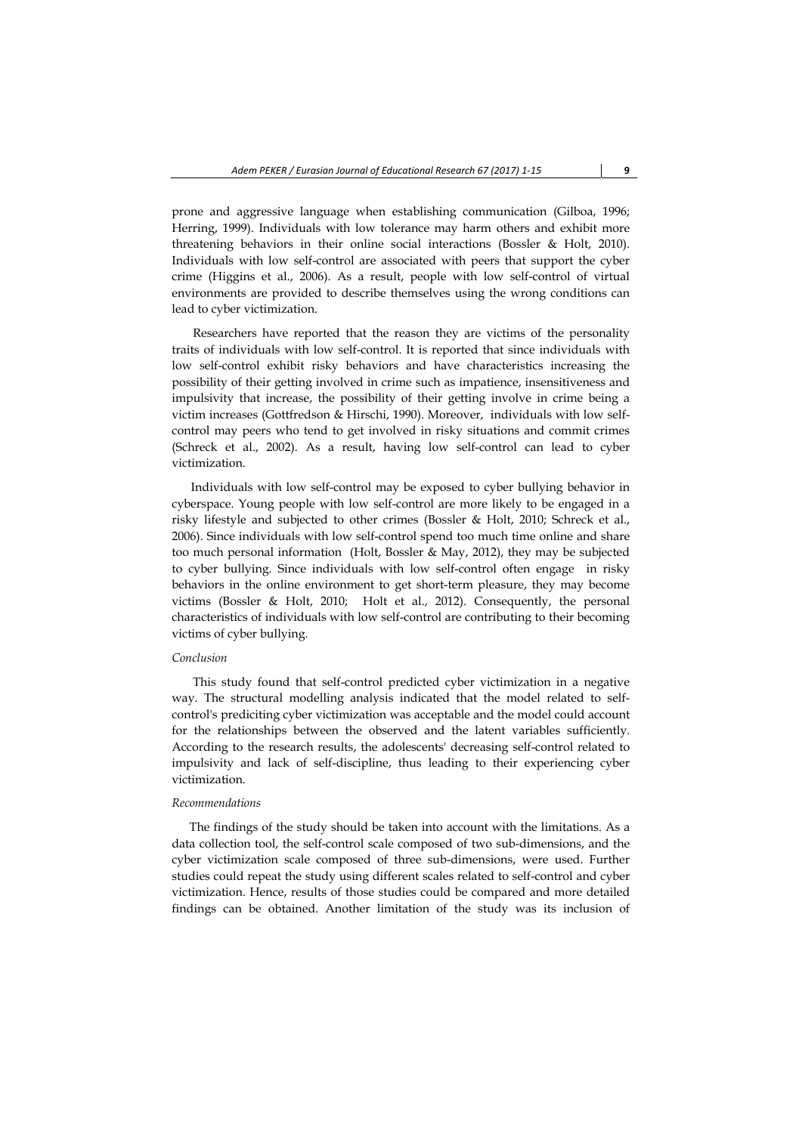prone and aggressive language when establishing communication (Gilboa, 1996; Herring, 1999). Individuals with low tolerance may harm others and exhibit more threatening behaviors in their online social interactions (Bossler & Holt, 2010). Individuals with low self-control are associated with peers that support the cyber crime (Higgins et al., 2006). As a result, people with low self-control of virtual environments are provided to describe themselves using the wrong conditions can lead to cyber victimization.

 Researchers have reported that the reason they are victims of the personality traits of individuals with low self-control. It is reported that since individuals with low self-control exhibit risky behaviors and have characteristics increasing the possibility of their getting involved in crime such as impatience, insensitiveness and impulsivity that increase, the possibility of their getting involve in crime being a victim increases (Gottfredson & Hirschi, 1990). Moreover, individuals with low selfcontrol may peers who tend to get involved in risky situations and commit crimes (Schreck et al., 2002). As a result, having low self-control can lead to cyber victimization.

Individuals with low self-control may be exposed to cyber bullying behavior in cyberspace. Young people with low self-control are more likely to be engaged in a risky lifestyle and subjected to other crimes (Bossler & Holt, 2010; Schreck et al., 2006). Since individuals with low self-control spend too much time online and share too much personal information (Holt, Bossler & May, 2012), they may be subjected to cyber bullying. Since individuals with low self-control often engage in risky behaviors in the online environment to get short-term pleasure, they may become victims (Bossler & Holt, 2010; Holt et al., 2012). Consequently, the personal characteristics of individuals with low self-control are contributing to their becoming victims of cyber bullying.

## *Conclusion*

 This study found that self-control predicted cyber victimization in a negative way. The structural modelling analysis indicated that the model related to selfcontrol's prediciting cyber victimization was acceptable and the model could account for the relationships between the observed and the latent variables sufficiently. According to the research results, the adolescents' decreasing self-control related to impulsivity and lack of self-discipline, thus leading to their experiencing cyber victimization.

### *Recommendations*

 The findings of the study should be taken into account with the limitations. As a data collection tool, the self-control scale composed of two sub-dimensions, and the cyber victimization scale composed of three sub-dimensions, were used. Further studies could repeat the study using different scales related to self-control and cyber victimization. Hence, results of those studies could be compared and more detailed findings can be obtained. Another limitation of the study was its inclusion of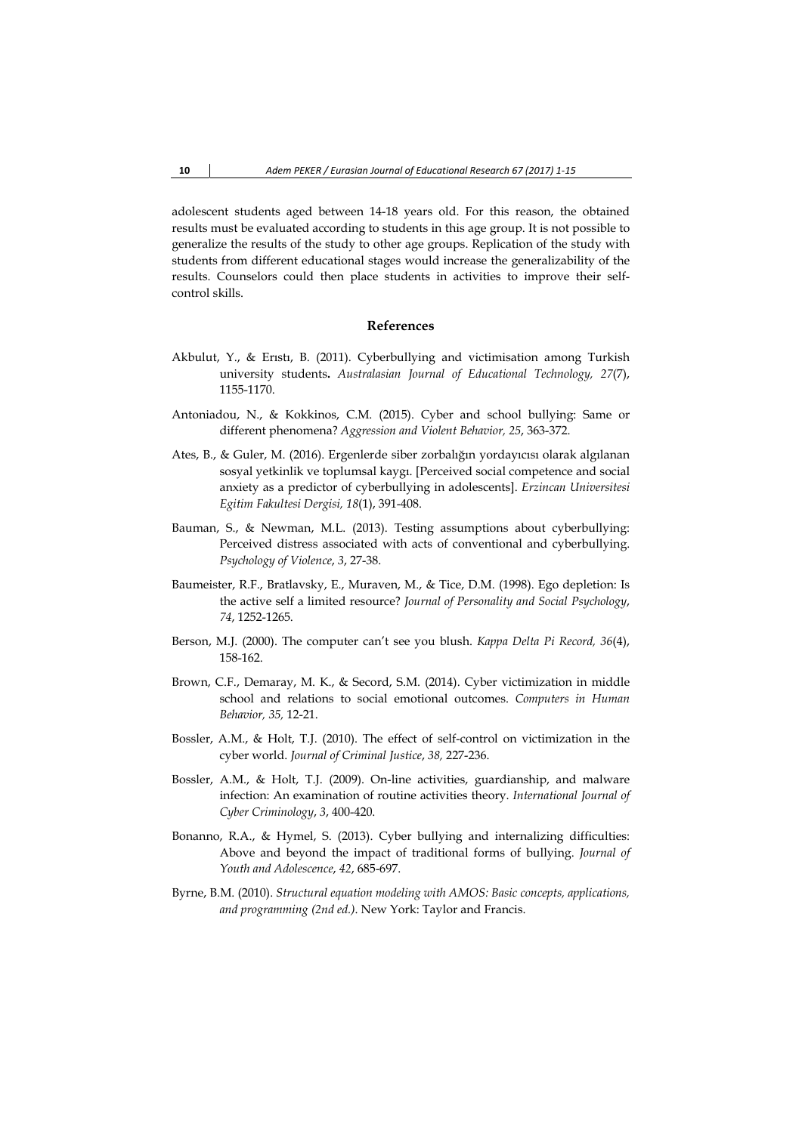adolescent students aged between 14-18 years old. For this reason, the obtained results must be evaluated according to students in this age group. It is not possible to generalize the results of the study to other age groups. Replication of the study with students from different educational stages would increase the generalizability of the results. Counselors could then place students in activities to improve their selfcontrol skills.

## **References**

- Akbulut, Y., & Erıstı, B. (2011). Cyberbullying and victimisation among Turkish university students**.** *Australasian Journal of Educational Technology, 27*(7), 1155-1170.
- Antoniadou, N., & Kokkinos, C.M. (2015). Cyber and school bullying: Same or different phenomena? *Aggression and Violent Behavior, 25*, 363-372.
- Ates, B., & Guler, M. (2016). Ergenlerde siber zorbalığın yordayıcısı olarak algılanan sosyal yetkinlik ve toplumsal kaygı. [Perceived social competence and social anxiety as a predictor of cyberbullying in adolescents]. *Erzincan Universitesi Egitim Fakultesi Dergisi, 18*(1), 391-408.
- Bauman, S., & Newman, M.L. (2013). Testing assumptions about cyberbullying: Perceived distress associated with acts of conventional and cyberbullying. *Psychology of Violence*, *3*, 27-38.
- Baumeister, R.F., Bratlavsky, E., Muraven, M., & Tice, D.M. (1998). Ego depletion: Is the active self a limited resource? *Journal of Personality and Social Psychology*, *74*, 1252-1265.
- Berson, M.J. (2000). The computer can't see you blush. *Kappa Delta Pi Record, 36*(4), 158-162.
- Brown, C.F., Demaray, M. K., & Secord, S.M. (2014). Cyber victimization in middle school and relations to social emotional outcomes. *Computers in Human Behavior, 35,* 12-21.
- Bossler, A.M., & Holt, T.J. (2010). The effect of self-control on victimization in the cyber world. *Journal of Criminal Justice*, *38,* 227-236.
- Bossler, A.M., & Holt, T.J. (2009). On-line activities, guardianship, and malware infection: An examination of routine activities theory. *International Journal of Cyber Criminology*, *3*, 400-420.
- Bonanno, R.A., & Hymel, S. (2013). Cyber bullying and internalizing difficulties: Above and beyond the impact of traditional forms of bullying. *Journal of Youth and Adolescence*, *42*, 685-697.
- Byrne, B.M. (2010). *Structural equation modeling with AMOS: Basic concepts, applications, and programming (2nd ed.)*. New York: Taylor and Francis.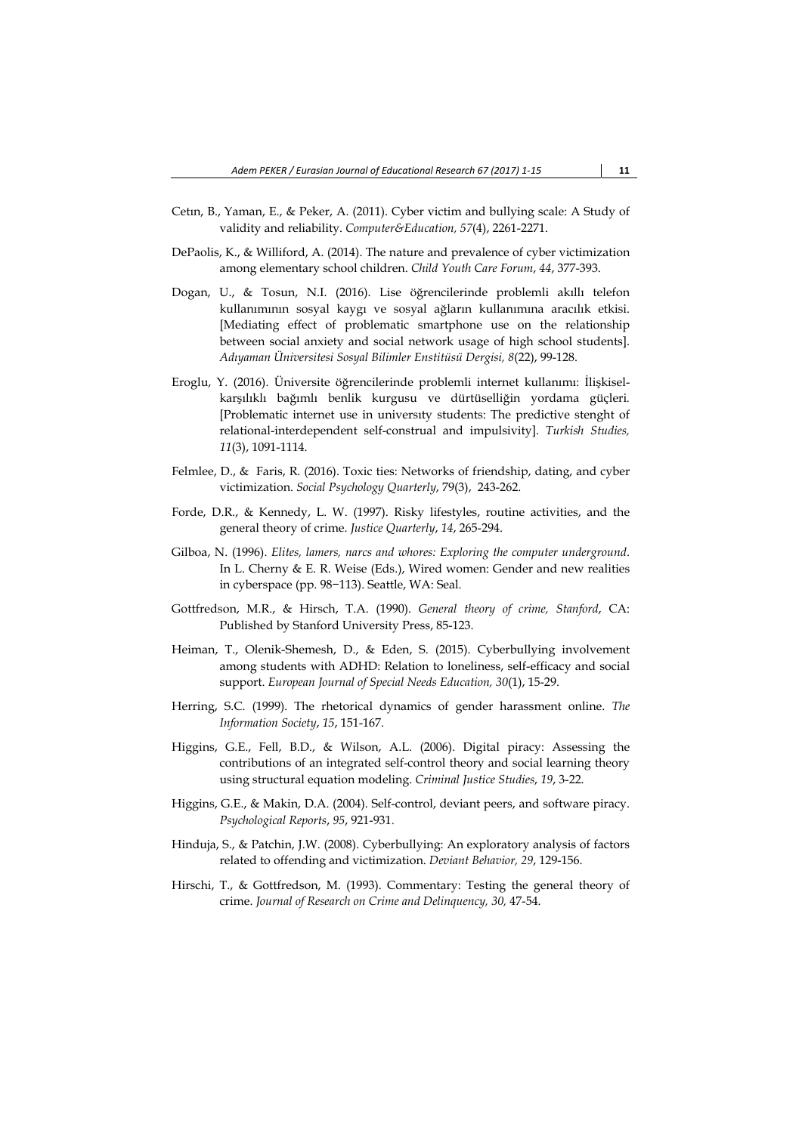- Cetın, B., Yaman, E., & Peker, A. (2011). Cyber victim and bullying scale: A Study of validity and reliability. *Computer&Education, 57*(4), 2261-2271.
- DePaolis, K., & Williford, A. (2014). The nature and prevalence of cyber victimization among elementary school children. *Child Youth Care Forum*, *44*, 377-393.
- Dogan, U., & Tosun, N.I. (2016). Lise öğrencilerinde problemli akıllı telefon kullanımının sosyal kaygı ve sosyal ağların kullanımına aracılık etkisi. [Mediating effect of problematic smartphone use on the relationship between social anxiety and social network usage of high school students]. *Adıyaman Üniversitesi Sosyal Bilimler Enstitüsü Dergisi, 8*(22), 99-128.
- Eroglu, Y. (2016). Üniversite öğrencilerinde problemli internet kullanımı: İlişkiselkarşılıklı bağımlı benlik kurgusu ve dürtüselliğin yordama güçleri*.* [Problematic internet use in universıty students: The predictive stenght of relational-interdependent self-construal and impulsivity]. *Turkish Studies, 11*(3), 1091-1114.
- Felmlee, D., & Faris, R. (2016). Toxic ties: Networks of friendship, dating, and cyber victimization. *Social Psychology Quarterly*, 79(3), 243-262.
- Forde, D.R., & Kennedy, L. W. (1997). Risky lifestyles, routine activities, and the general theory of crime. *Justice Quarterly*, *14*, 265-294.
- Gilboa, N. (1996). *Elites, lamers, narcs and whores: Exploring the computer underground*. In L. Cherny & E. R. Weise (Eds.), Wired women: Gender and new realities in cyberspace (pp. 98−113). Seattle, WA: Seal.
- Gottfredson, M.R., & Hirsch, T.A. (1990). *General theory of crime, Stanford*, CA: Published by Stanford University Press, 85-123.
- Heiman, T., Olenik-Shemesh, D., & Eden, S. (2015). Cyberbullying involvement among students with ADHD: Relation to loneliness, self-efficacy and social support. *European Journal of Special Needs Education, 30*(1), 15-29.
- Herring, S.C. (1999). The rhetorical dynamics of gender harassment online. *The Information Society*, *15*, 151-167.
- Higgins, G.E., Fell, B.D., & Wilson, A.L. (2006). Digital piracy: Assessing the contributions of an integrated self-control theory and social learning theory using structural equation modeling. *Criminal Justice Studies*, *19*, 3-22.
- Higgins, G.E., & Makin, D.A. (2004). Self-control, deviant peers, and software piracy. *Psychological Reports*, *95*, 921-931.
- Hinduja, S., & Patchin, J.W. (2008). Cyberbullying: An exploratory analysis of factors related to offending and victimization. *Deviant Behavior, 29*, 129-156.
- Hirschi, T., & Gottfredson, M. (1993). Commentary: Testing the general theory of crime. *Journal of Research on Crime and Delinquency, 30,* 47-54.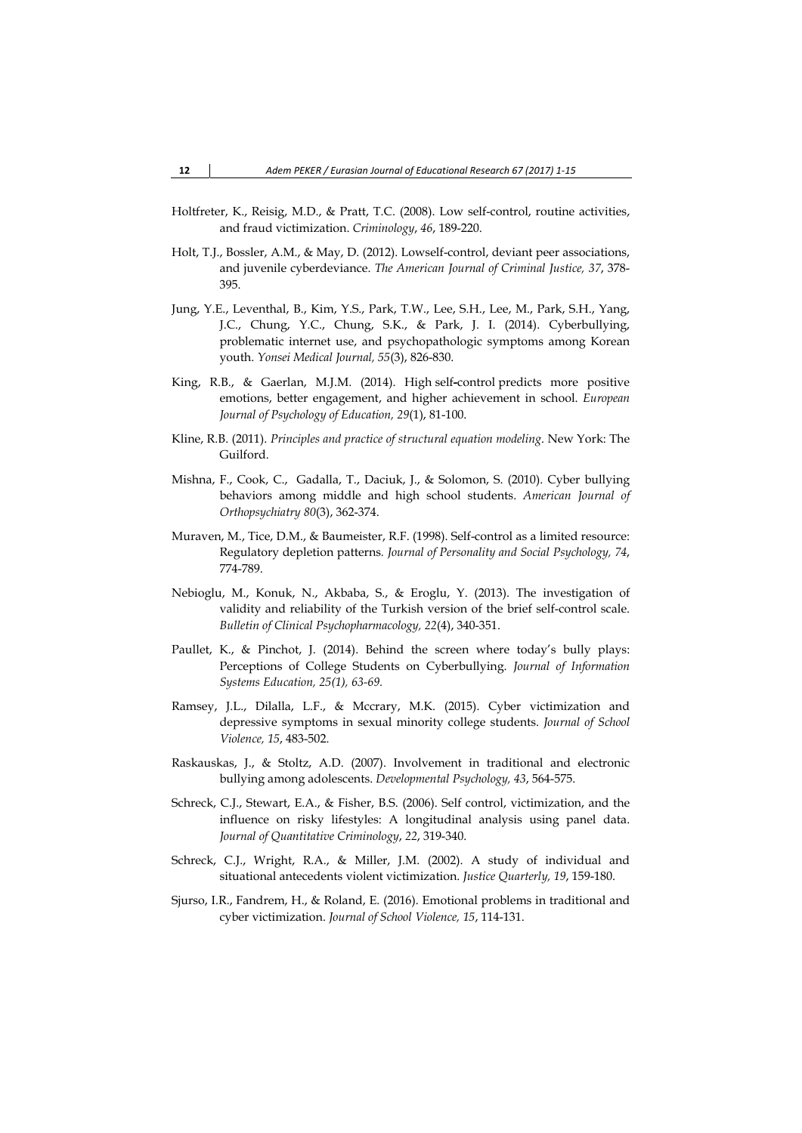- Holtfreter, K., Reisig, M.D., & Pratt, T.C. (2008). Low self-control, routine activities, and fraud victimization. *Criminology*, *46*, 189-220.
- Holt, T.J., Bossler, A.M., & May, D. (2012). Lowself-control, deviant peer associations, and juvenile cyberdeviance. *The American Journal of Criminal Justice, 37*, 378- 395.
- Jung, Y.E., Leventhal, B., Kim, Y.S., Park, T.W., Lee, S.H., Lee, M., Park, S.H., Yang, J.C., Chung, Y.C., Chung, S.K., & Park, J. I. (2014). Cyberbullying, problematic internet use, and psychopathologic symptoms among Korean youth. *Yonsei Medical Journal, 55*(3), 826-830.
- King, R.B., & Gaerlan, M.J.M. (2014). High self**-**control predicts more positive emotions, better engagement, and higher achievement in school. *European Journal of Psychology of Education, 29*(1), 81-100.
- Kline, R.B. (2011). *Principles and practice of structural equation modeling*. New York: The Guilford.
- Mishna, F., Cook, C., Gadalla, T., Daciuk, J., & Solomon, S. (2010). Cyber bullying behaviors among middle and high school students. *American Journal of Orthopsychiatry 80*(3), 362-374.
- Muraven, M., Tice, D.M., & Baumeister, R.F. (1998). Self-control as a limited resource: Regulatory depletion patterns*. Journal of Personality and Social Psychology, 74*, 774-789.
- Nebioglu, M., Konuk, N., Akbaba, S., & Eroglu, Y. (2013). The investigation of validity and reliability of the Turkish version of the brief self-control scale. *Bulletin of Clinical Psychopharmacology, 22*(4), 340-351.
- Paullet, K., & Pinchot, J. (2014). Behind the screen where today's bully plays: Perceptions of College Students on Cyberbullying. *Journal of Information Systems Education, 25(1), 63-69.*
- Ramsey, J.L., Dilalla, L.F., & Mccrary, M.K. (2015). Cyber victimization and depressive symptoms in sexual minority college students. *Journal of School Violence, 15*, 483-502.
- Raskauskas, J., & Stoltz, A.D. (2007). Involvement in traditional and electronic bullying among adolescents. *Developmental Psychology, 43*, 564-575.
- Schreck, C.J., Stewart, E.A., & Fisher, B.S. (2006). Self control, victimization, and the influence on risky lifestyles: A longitudinal analysis using panel data. *Journal of Quantitative Criminology*, *22*, 319-340.
- Schreck, C.J., Wright, R.A., & Miller, J.M. (2002). A study of individual and situational antecedents violent victimization. *Justice Quarterly, 19*, 159-180.
- Sjurso, I.R., Fandrem, H., & Roland, E. (2016). Emotional problems in traditional and cyber victimization. *Journal of School Violence, 15*, 114-131.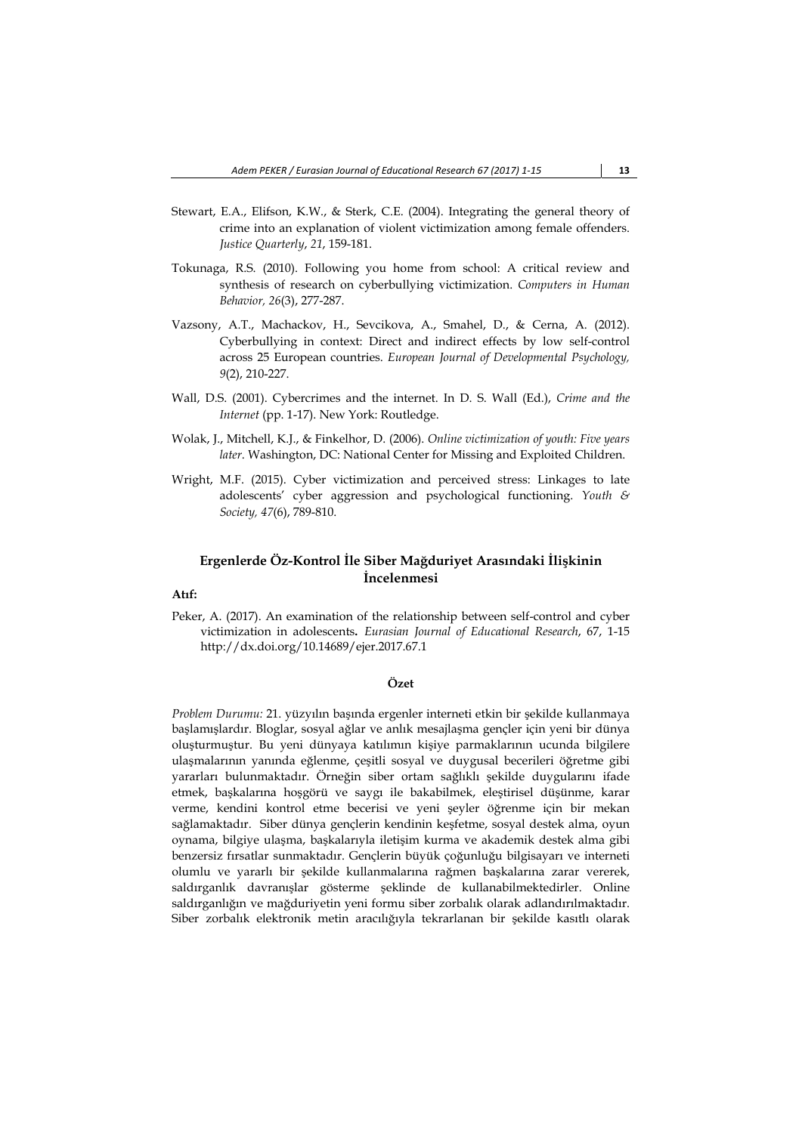- Stewart, E.A., Elifson, K.W., & Sterk, C.E. (2004). Integrating the general theory of crime into an explanation of violent victimization among female offenders. *Justice Quarterly*, *21*, 159-181.
- Tokunaga, R.S. (2010). Following you home from school: A critical review and synthesis of research on cyberbullying victimization. *Computers in Human Behavior, 26*(3), 277-287.
- Vazsony, A.T., Machackov, H., Sevcikova, A., Smahel, D., & Cerna, A. (2012). Cyberbullying in context: Direct and indirect effects by low self-control across 25 European countries. *European Journal of Developmental Psychology, 9*(2), 210-227.
- Wall, D.S. (2001). Cybercrimes and the internet. In D. S. Wall (Ed.), *Crime and the Internet* (pp. 1-17). New York: Routledge.
- Wolak, J., Mitchell, K.J., & Finkelhor, D. (2006). *Online victimization of youth: Five years later*. Washington, DC: National Center for Missing and Exploited Children.
- Wright, M.F. (2015). Cyber victimization and perceived stress: Linkages to late adolescents' cyber aggression and psychological functioning. *Youth & Society, 47*(6), 789-810.

# **Ergenlerde Öz-Kontrol İle Siber Mağduriyet Arasındaki İlişkinin İncelenmesi**

# **Atıf:**

Peker, A. (2017). An examination of the relationship between self-control and cyber victimization in adolescents**.** *Eurasian Journal of Educational Research*, 67, 1-15 http://dx.doi.org/10.14689/ejer.2017.67.1

### **Özet**

*Problem Durumu:* 21. yüzyılın başında ergenler interneti etkin bir şekilde kullanmaya başlamışlardır. Bloglar, sosyal ağlar ve anlık mesajlaşma gençler için yeni bir dünya oluşturmuştur. Bu yeni dünyaya katılımın kişiye parmaklarının ucunda bilgilere ulaşmalarının yanında eğlenme, çeşitli sosyal ve duygusal becerileri öğretme gibi yararları bulunmaktadır. Örneğin siber ortam sağlıklı şekilde duygularını ifade etmek, başkalarına hoşgörü ve saygı ile bakabilmek, eleştirisel düşünme, karar verme, kendini kontrol etme becerisi ve yeni şeyler öğrenme için bir mekan sağlamaktadır. Siber dünya gençlerin kendinin keşfetme, sosyal destek alma, oyun oynama, bilgiye ulaşma, başkalarıyla iletişim kurma ve akademik destek alma gibi benzersiz fırsatlar sunmaktadır. Gençlerin büyük çoğunluğu bilgisayarı ve interneti olumlu ve yararlı bir şekilde kullanmalarına rağmen başkalarına zarar vererek, saldırganlık davranışlar gösterme şeklinde de kullanabilmektedirler. Online saldırganlığın ve mağduriyetin yeni formu siber zorbalık olarak adlandırılmaktadır. Siber zorbalık elektronik metin aracılığıyla tekrarlanan bir şekilde kasıtlı olarak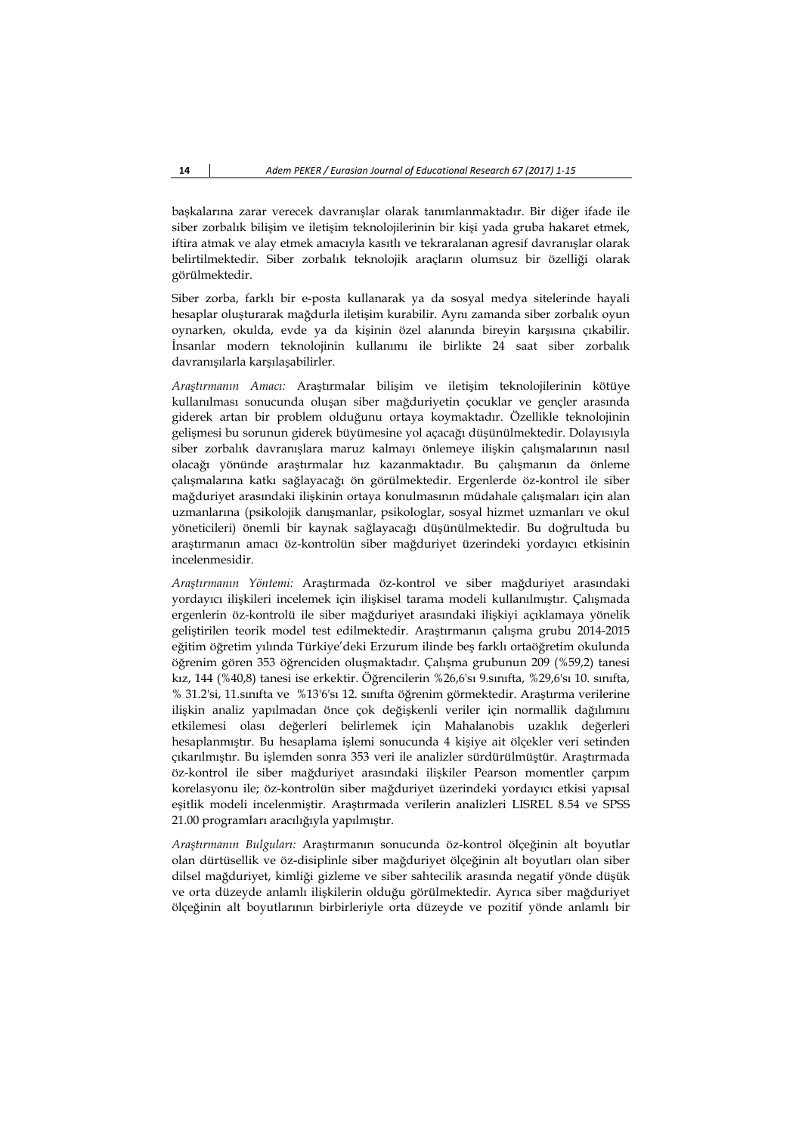başkalarına zarar verecek davranışlar olarak tanımlanmaktadır. Bir diğer ifade ile siber zorbalık bilişim ve iletişim teknolojilerinin bir kişi yada gruba hakaret etmek, iftira atmak ve alay etmek amacıyla kasıtlı ve tekraralanan agresif davranışlar olarak belirtilmektedir. Siber zorbalık teknolojik araçların olumsuz bir özelliği olarak görülmektedir.

Siber zorba, farklı bir e-posta kullanarak ya da sosyal medya sitelerinde hayali hesaplar oluşturarak mağdurla iletişim kurabilir. Aynı zamanda siber zorbalık oyun oynarken, okulda, evde ya da kişinin özel alanında bireyin karşısına çıkabilir. İnsanlar modern teknolojinin kullanımı ile birlikte 24 saat siber zorbalık davranışılarla karşılaşabilirler.

*Araştırmanın Amacı:* Araştırmalar bilişim ve iletişim teknolojilerinin kötüye kullanılması sonucunda oluşan siber mağduriyetin çocuklar ve gençler arasında giderek artan bir problem olduğunu ortaya koymaktadır. Özellikle teknolojinin gelişmesi bu sorunun giderek büyümesine yol açacağı düşünülmektedir. Dolayısıyla siber zorbalık davranışlara maruz kalmayı önlemeye ilişkin çalışmalarının nasıl olacağı yönünde araştırmalar hız kazanmaktadır. Bu çalışmanın da önleme çalışmalarına katkı sağlayacağı ön görülmektedir. Ergenlerde öz-kontrol ile siber mağduriyet arasındaki ilişkinin ortaya konulmasının müdahale çalışmaları için alan uzmanlarına (psikolojik danışmanlar, psikologlar, sosyal hizmet uzmanları ve okul yöneticileri) önemli bir kaynak sağlayacağı düşünülmektedir. Bu doğrultuda bu araştırmanın amacı öz-kontrolün siber mağduriyet üzerindeki yordayıcı etkisinin incelenmesidir.

*Araştırmanın Yöntemi:* Araştırmada öz-kontrol ve siber mağduriyet arasındaki yordayıcı ilişkileri incelemek için ilişkisel tarama modeli kullanılmıştır. Çalışmada ergenlerin öz-kontrolü ile siber mağduriyet arasındaki ilişkiyi açıklamaya yönelik geliştirilen teorik model test edilmektedir. Araştırmanın çalışma grubu 2014-2015 eğitim öğretim yılında Türkiye'deki Erzurum ilinde beş farklı ortaöğretim okulunda öğrenim gören 353 öğrenciden oluşmaktadır. Çalışma grubunun 209 (%59,2) tanesi kız, 144 (%40,8) tanesi ise erkektir. Öğrencilerin %26,6'sı 9.sınıfta, %29,6'sı 10. sınıfta, % 31.2'si, 11.sınıfta ve %13'6'sı 12. sınıfta öğrenim görmektedir. Araştırma verilerine ilişkin analiz yapılmadan önce çok değişkenli veriler için normallik dağılımını etkilemesi olası değerleri belirlemek için Mahalanobis uzaklık değerleri hesaplanmıştır. Bu hesaplama işlemi sonucunda 4 kişiye ait ölçekler veri setinden çıkarılmıştır. Bu işlemden sonra 353 veri ile analizler sürdürülmüştür. Araştırmada öz-kontrol ile siber mağduriyet arasındaki ilişkiler Pearson momentler çarpım korelasyonu ile; öz-kontrolün siber mağduriyet üzerindeki yordayıcı etkisi yapısal eşitlik modeli incelenmiştir. Araştırmada verilerin analizleri LISREL 8.54 ve SPSS 21.00 programları aracılığıyla yapılmıştır.

*Araştırmanın Bulguları:* Araştırmanın sonucunda öz-kontrol ölçeğinin alt boyutlar olan dürtüsellik ve öz-disiplinle siber mağduriyet ölçeğinin alt boyutları olan siber dilsel mağduriyet, kimliği gizleme ve siber sahtecilik arasında negatif yönde düşük ve orta düzeyde anlamlı ilişkilerin olduğu görülmektedir. Ayrıca siber mağduriyet ölçeğinin alt boyutlarının birbirleriyle orta düzeyde ve pozitif yönde anlamlı bir